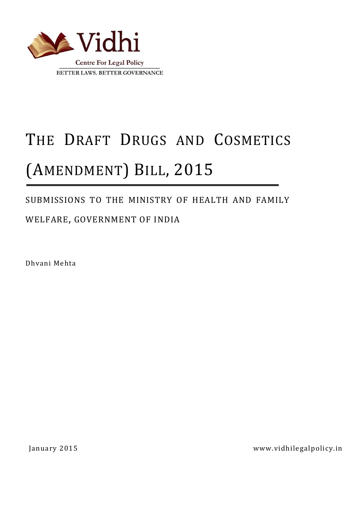

# THE DRAFT DRUGS AND COSMETICS (AMENDMENT) BILL, 2015

## SUBMISSIONS TO THE MINISTRY OF HEALTH AND FAMILY

## WELFARE, GOVERNMENT OF INDIA

Dhvani Mehta

January 2015 www.vidhilegalpolicy.in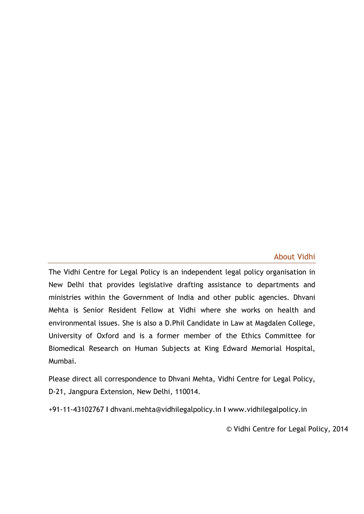#### About Vidhi

The Vidhi Centre for Legal Policy is an independent legal policy organisation in New Delhi that provides legislative drafting assistance to departments and ministries within the Government of India and other public agencies. Dhvani Mehta is Senior Resident Fellow at Vidhi where she works on health and environmental issues. She is also a D.Phil Candidate in Law at Magdalen College, University of Oxford and is a former member of the Ethics Committee for Biomedical Research on Human Subjects at King Edward Memorial Hospital, Mumbai.

Please direct all correspondence to Dhvani Mehta, Vidhi Centre for Legal Policy, D-21, Jangpura Extension, New Delhi, 110014.

+91-11-43102767 **I** dhvani.mehta@vidhilegalpolicy.in **I** www.vidhilegalpolicy.in

© Vidhi Centre for Legal Policy, 2014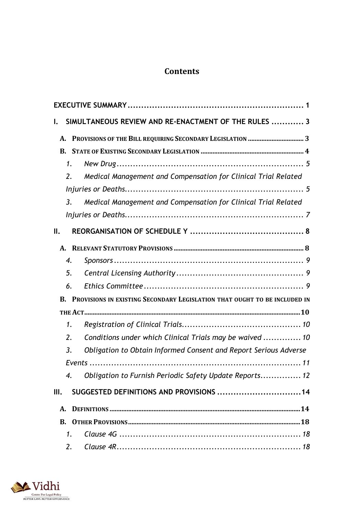## **Contents**

| I.                                                                                  | SIMULTANEOUS REVIEW AND RE-ENACTMENT OF THE RULES  3             |  |
|-------------------------------------------------------------------------------------|------------------------------------------------------------------|--|
| А.                                                                                  | PROVISIONS OF THE BILL REQUIRING SECONDARY LEGISLATION  3        |  |
| <b>B.</b>                                                                           |                                                                  |  |
| 1.                                                                                  |                                                                  |  |
| 2.                                                                                  | Medical Management and Compensation for Clinical Trial Related   |  |
|                                                                                     |                                                                  |  |
| $\overline{3}$ .                                                                    | Medical Management and Compensation for Clinical Trial Related   |  |
|                                                                                     |                                                                  |  |
| II.                                                                                 |                                                                  |  |
|                                                                                     |                                                                  |  |
| 4.                                                                                  |                                                                  |  |
| 5.                                                                                  |                                                                  |  |
| 6.                                                                                  |                                                                  |  |
| <b>B. PROVISIONS IN EXISTING SECONDARY LEGISLATION THAT OUGHT TO BE INCLUDED IN</b> |                                                                  |  |
|                                                                                     |                                                                  |  |
| 1.                                                                                  |                                                                  |  |
| 2.                                                                                  | Conditions under which Clinical Trials may be waived  10         |  |
| 3.                                                                                  | Obligation to Obtain Informed Consent and Report Serious Adverse |  |
|                                                                                     |                                                                  |  |
| $\overline{4}$ .                                                                    | Obligation to Furnish Periodic Safety Update Reports 12          |  |
| III.                                                                                | SUGGESTED DEFINITIONS AND PROVISIONS  14                         |  |
| А.                                                                                  |                                                                  |  |
|                                                                                     |                                                                  |  |
| 1.                                                                                  |                                                                  |  |
| 2.                                                                                  |                                                                  |  |

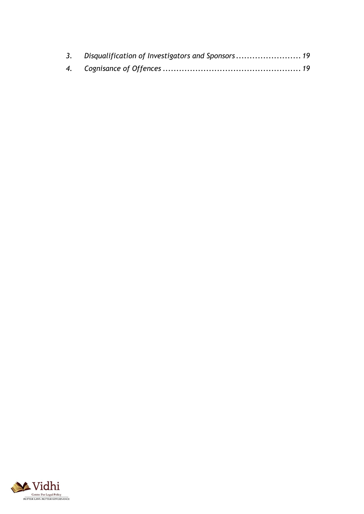| 3. Disqualification of Investigators and Sponsors 19 |  |
|------------------------------------------------------|--|
|                                                      |  |

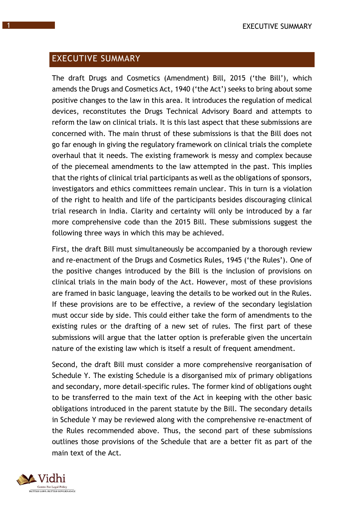## EXECUTIVE SUMMARY

The draft Drugs and Cosmetics (Amendment) Bill, 2015 ('the Bill'), which amends the Drugs and Cosmetics Act, 1940 ('the Act') seeks to bring about some positive changes to the law in this area. It introduces the regulation of medical devices, reconstitutes the Drugs Technical Advisory Board and attempts to reform the law on clinical trials. It is this last aspect that these submissions are concerned with. The main thrust of these submissions is that the Bill does not go far enough in giving the regulatory framework on clinical trials the complete overhaul that it needs. The existing framework is messy and complex because of the piecemeal amendments to the law attempted in the past. This implies that the rights of clinical trial participants as well as the obligations of sponsors, investigators and ethics committees remain unclear. This in turn is a violation of the right to health and life of the participants besides discouraging clinical trial research in India. Clarity and certainty will only be introduced by a far more comprehensive code than the 2015 Bill. These submissions suggest the following three ways in which this may be achieved.

First, the draft Bill must simultaneously be accompanied by a thorough review and re-enactment of the Drugs and Cosmetics Rules, 1945 ('the Rules'). One of the positive changes introduced by the Bill is the inclusion of provisions on clinical trials in the main body of the Act. However, most of these provisions are framed in basic language, leaving the details to be worked out in the Rules. If these provisions are to be effective, a review of the secondary legislation must occur side by side. This could either take the form of amendments to the existing rules or the drafting of a new set of rules. The first part of these submissions will argue that the latter option is preferable given the uncertain nature of the existing law which is itself a result of frequent amendment.

Second, the draft Bill must consider a more comprehensive reorganisation of Schedule Y. The existing Schedule is a disorganised mix of primary obligations and secondary, more detail-specific rules. The former kind of obligations ought to be transferred to the main text of the Act in keeping with the other basic obligations introduced in the parent statute by the Bill. The secondary details in Schedule Y may be reviewed along with the comprehensive re-enactment of the Rules recommended above. Thus, the second part of these submissions outlines those provisions of the Schedule that are a better fit as part of the main text of the Act.

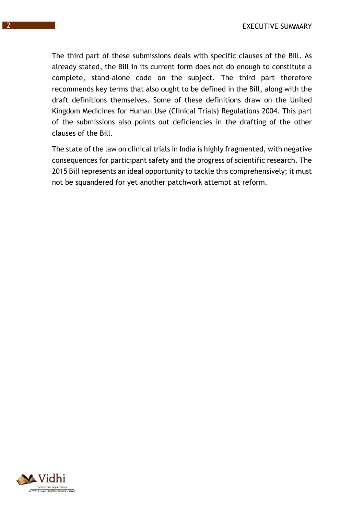The third part of these submissions deals with specific clauses of the Bill. As already stated, the Bill in its current form does not do enough to constitute a complete, stand-alone code on the subject. The third part therefore recommends key terms that also ought to be defined in the Bill, along with the draft definitions themselves. Some of these definitions draw on the United Kingdom Medicines for Human Use (Clinical Trials) Regulations 2004. This part of the submissions also points out deficiencies in the drafting of the other clauses of the Bill.

The state of the law on clinical trials in India is highly fragmented, with negative consequences for participant safety and the progress of scientific research. The 2015 Bill represents an ideal opportunity to tackle this comprehensively; it must not be squandered for yet another patchwork attempt at reform.

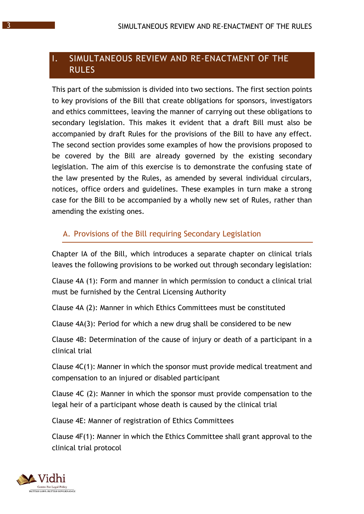## I. SIMULTANEOUS REVIEW AND RE-ENACTMENT OF THE RULES

This part of the submission is divided into two sections. The first section points to key provisions of the Bill that create obligations for sponsors, investigators and ethics committees, leaving the manner of carrying out these obligations to secondary legislation. This makes it evident that a draft Bill must also be accompanied by draft Rules for the provisions of the Bill to have any effect. The second section provides some examples of how the provisions proposed to be covered by the Bill are already governed by the existing secondary legislation. The aim of this exercise is to demonstrate the confusing state of the law presented by the Rules, as amended by several individual circulars, notices, office orders and guidelines. These examples in turn make a strong case for the Bill to be accompanied by a wholly new set of Rules, rather than amending the existing ones.

## A. Provisions of the Bill requiring Secondary Legislation

Chapter IA of the Bill, which introduces a separate chapter on clinical trials leaves the following provisions to be worked out through secondary legislation:

Clause 4A (1): Form and manner in which permission to conduct a clinical trial must be furnished by the Central Licensing Authority

Clause 4A (2): Manner in which Ethics Committees must be constituted

Clause 4A(3): Period for which a new drug shall be considered to be new

Clause 4B: Determination of the cause of injury or death of a participant in a clinical trial

Clause 4C(1): Manner in which the sponsor must provide medical treatment and compensation to an injured or disabled participant

Clause 4C (2): Manner in which the sponsor must provide compensation to the legal heir of a participant whose death is caused by the clinical trial

Clause 4E: Manner of registration of Ethics Committees

Clause 4F(1): Manner in which the Ethics Committee shall grant approval to the clinical trial protocol

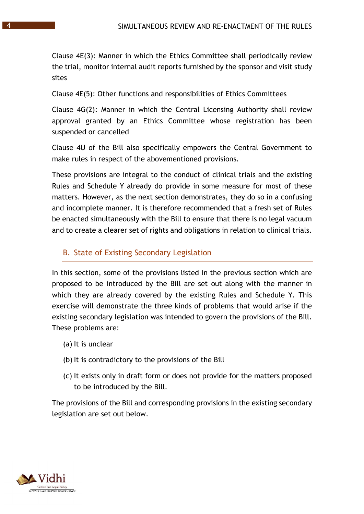Clause 4E(3): Manner in which the Ethics Committee shall periodically review the trial, monitor internal audit reports furnished by the sponsor and visit study sites

Clause 4E(5): Other functions and responsibilities of Ethics Committees

Clause 4G(2): Manner in which the Central Licensing Authority shall review approval granted by an Ethics Committee whose registration has been suspended or cancelled

Clause 4U of the Bill also specifically empowers the Central Government to make rules in respect of the abovementioned provisions.

These provisions are integral to the conduct of clinical trials and the existing Rules and Schedule Y already do provide in some measure for most of these matters. However, as the next section demonstrates, they do so in a confusing and incomplete manner. It is therefore recommended that a fresh set of Rules be enacted simultaneously with the Bill to ensure that there is no legal vacuum and to create a clearer set of rights and obligations in relation to clinical trials.

#### B. State of Existing Secondary Legislation

In this section, some of the provisions listed in the previous section which are proposed to be introduced by the Bill are set out along with the manner in which they are already covered by the existing Rules and Schedule Y. This exercise will demonstrate the three kinds of problems that would arise if the existing secondary legislation was intended to govern the provisions of the Bill. These problems are:

- (a) It is unclear
- (b) It is contradictory to the provisions of the Bill
- (c) It exists only in draft form or does not provide for the matters proposed to be introduced by the Bill.

The provisions of the Bill and corresponding provisions in the existing secondary legislation are set out below.

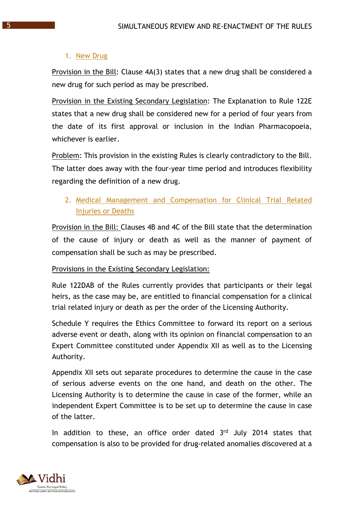#### 1. New Drug

Provision in the Bill: Clause 4A(3) states that a new drug shall be considered a new drug for such period as may be prescribed.

Provision in the Existing Secondary Legislation: The Explanation to Rule 122E states that a new drug shall be considered new for a period of four years from the date of its first approval or inclusion in the Indian Pharmacopoeia, whichever is earlier.

Problem: This provision in the existing Rules is clearly contradictory to the Bill. The latter does away with the four-year time period and introduces flexibility regarding the definition of a new drug.

2. Medical Management and Compensation for Clinical Trial Related Injuries or Deaths

Provision in the Bill: Clauses 4B and 4C of the Bill state that the determination of the cause of injury or death as well as the manner of payment of compensation shall be such as may be prescribed.

#### Provisions in the Existing Secondary Legislation:

Rule 122DAB of the Rules currently provides that participants or their legal heirs, as the case may be, are entitled to financial compensation for a clinical trial related injury or death as per the order of the Licensing Authority.

Schedule Y requires the Ethics Committee to forward its report on a serious adverse event or death, along with its opinion on financial compensation to an Expert Committee constituted under Appendix XII as well as to the Licensing Authority.

Appendix XII sets out separate procedures to determine the cause in the case of serious adverse events on the one hand, and death on the other. The Licensing Authority is to determine the cause in case of the former, while an independent Expert Committee is to be set up to determine the cause in case of the latter.

In addition to these, an office order dated 3rd July 2014 states that compensation is also to be provided for drug-related anomalies discovered at a

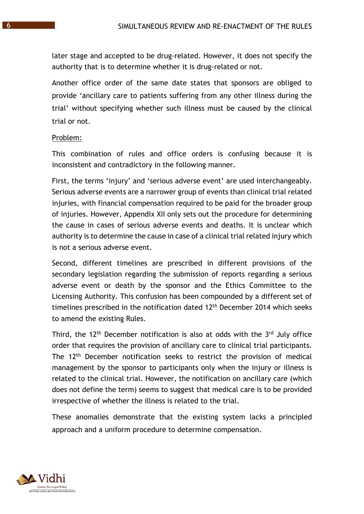later stage and accepted to be drug-related. However, it does not specify the authority that is to determine whether it is drug-related or not.

Another office order of the same date states that sponsors are obliged to provide 'ancillary care to patients suffering from any other illness during the trial' without specifying whether such illness must be caused by the clinical trial or not.

#### Problem:

This combination of rules and office orders is confusing because it is inconsistent and contradictory in the following manner.

First, the terms 'injury' and 'serious adverse event' are used interchangeably. Serious adverse events are a narrower group of events than clinical trial related injuries, with financial compensation required to be paid for the broader group of injuries. However, Appendix XII only sets out the procedure for determining the cause in cases of serious adverse events and deaths. It is unclear which authority is to determine the cause in case of a clinical trial related injury which is not a serious adverse event.

Second, different timelines are prescribed in different provisions of the secondary legislation regarding the submission of reports regarding a serious adverse event or death by the sponsor and the Ethics Committee to the Licensing Authority. This confusion has been compounded by a different set of timelines prescribed in the notification dated 12<sup>th</sup> December 2014 which seeks to amend the existing Rules.

Third, the 12<sup>th</sup> December notification is also at odds with the 3<sup>rd</sup> July office order that requires the provision of ancillary care to clinical trial participants. The 12th December notification seeks to restrict the provision of medical management by the sponsor to participants only when the injury or illness is related to the clinical trial. However, the notification on ancillary care (which does not define the term) seems to suggest that medical care is to be provided irrespective of whether the illness is related to the trial.

These anomalies demonstrate that the existing system lacks a principled approach and a uniform procedure to determine compensation.

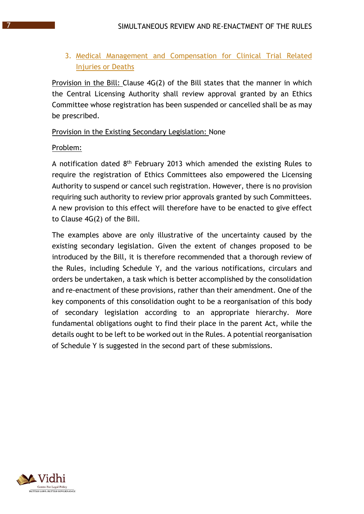## 3. Medical Management and Compensation for Clinical Trial Related Injuries or Deaths

Provision in the Bill: Clause 4G(2) of the Bill states that the manner in which the Central Licensing Authority shall review approval granted by an Ethics Committee whose registration has been suspended or cancelled shall be as may be prescribed.

Provision in the Existing Secondary Legislation: None

#### Problem:

A notification dated 8th February 2013 which amended the existing Rules to require the registration of Ethics Committees also empowered the Licensing Authority to suspend or cancel such registration. However, there is no provision requiring such authority to review prior approvals granted by such Committees. A new provision to this effect will therefore have to be enacted to give effect to Clause 4G(2) of the Bill.

The examples above are only illustrative of the uncertainty caused by the existing secondary legislation. Given the extent of changes proposed to be introduced by the Bill, it is therefore recommended that a thorough review of the Rules, including Schedule Y, and the various notifications, circulars and orders be undertaken, a task which is better accomplished by the consolidation and re-enactment of these provisions, rather than their amendment. One of the key components of this consolidation ought to be a reorganisation of this body of secondary legislation according to an appropriate hierarchy. More fundamental obligations ought to find their place in the parent Act, while the details ought to be left to be worked out in the Rules. A potential reorganisation of Schedule Y is suggested in the second part of these submissions.

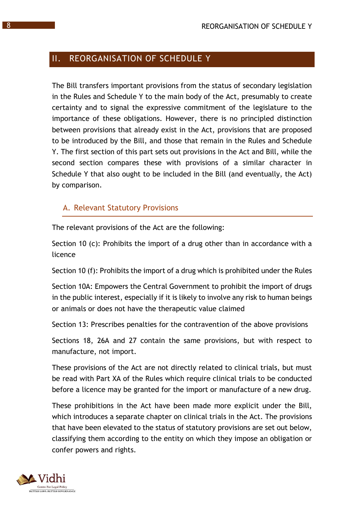## II. REORGANISATION OF SCHEDULE Y

The Bill transfers important provisions from the status of secondary legislation in the Rules and Schedule Y to the main body of the Act, presumably to create certainty and to signal the expressive commitment of the legislature to the importance of these obligations. However, there is no principled distinction between provisions that already exist in the Act, provisions that are proposed to be introduced by the Bill, and those that remain in the Rules and Schedule Y. The first section of this part sets out provisions in the Act and Bill, while the second section compares these with provisions of a similar character in Schedule Y that also ought to be included in the Bill (and eventually, the Act) by comparison.

#### A. Relevant Statutory Provisions

The relevant provisions of the Act are the following:

Section 10 (c): Prohibits the import of a drug other than in accordance with a licence

Section 10 (f): Prohibits the import of a drug which is prohibited under the Rules

Section 10A: Empowers the Central Government to prohibit the import of drugs in the public interest, especially if it is likely to involve any risk to human beings or animals or does not have the therapeutic value claimed

Section 13: Prescribes penalties for the contravention of the above provisions

Sections 18, 26A and 27 contain the same provisions, but with respect to manufacture, not import.

These provisions of the Act are not directly related to clinical trials, but must be read with Part XA of the Rules which require clinical trials to be conducted before a licence may be granted for the import or manufacture of a new drug.

These prohibitions in the Act have been made more explicit under the Bill, which introduces a separate chapter on clinical trials in the Act. The provisions that have been elevated to the status of statutory provisions are set out below, classifying them according to the entity on which they impose an obligation or confer powers and rights.

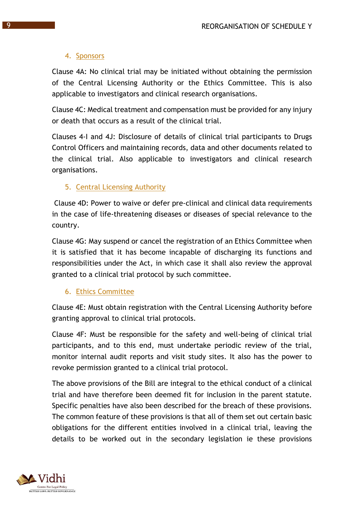#### 4. Sponsors

Clause 4A: No clinical trial may be initiated without obtaining the permission of the Central Licensing Authority or the Ethics Committee. This is also applicable to investigators and clinical research organisations.

Clause 4C: Medical treatment and compensation must be provided for any injury or death that occurs as a result of the clinical trial.

Clauses 4-I and 4J: Disclosure of details of clinical trial participants to Drugs Control Officers and maintaining records, data and other documents related to the clinical trial. Also applicable to investigators and clinical research organisations.

## 5. Central Licensing Authority

Clause 4D: Power to waive or defer pre-clinical and clinical data requirements in the case of life-threatening diseases or diseases of special relevance to the country.

Clause 4G: May suspend or cancel the registration of an Ethics Committee when it is satisfied that it has become incapable of discharging its functions and responsibilities under the Act, in which case it shall also review the approval granted to a clinical trial protocol by such committee.

#### 6. Ethics Committee

Clause 4E: Must obtain registration with the Central Licensing Authority before granting approval to clinical trial protocols.

Clause 4F: Must be responsible for the safety and well-being of clinical trial participants, and to this end, must undertake periodic review of the trial, monitor internal audit reports and visit study sites. It also has the power to revoke permission granted to a clinical trial protocol.

The above provisions of the Bill are integral to the ethical conduct of a clinical trial and have therefore been deemed fit for inclusion in the parent statute. Specific penalties have also been described for the breach of these provisions. The common feature of these provisions is that all of them set out certain basic obligations for the different entities involved in a clinical trial, leaving the details to be worked out in the secondary legislation ie these provisions

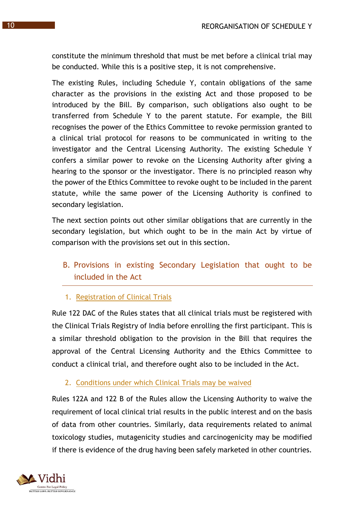constitute the minimum threshold that must be met before a clinical trial may be conducted. While this is a positive step, it is not comprehensive.

The existing Rules, including Schedule Y, contain obligations of the same character as the provisions in the existing Act and those proposed to be introduced by the Bill. By comparison, such obligations also ought to be transferred from Schedule Y to the parent statute. For example, the Bill recognises the power of the Ethics Committee to revoke permission granted to a clinical trial protocol for reasons to be communicated in writing to the investigator and the Central Licensing Authority. The existing Schedule Y confers a similar power to revoke on the Licensing Authority after giving a hearing to the sponsor or the investigator. There is no principled reason why the power of the Ethics Committee to revoke ought to be included in the parent statute, while the same power of the Licensing Authority is confined to secondary legislation.

The next section points out other similar obligations that are currently in the secondary legislation, but which ought to be in the main Act by virtue of comparison with the provisions set out in this section.

B. Provisions in existing Secondary Legislation that ought to be included in the Act

1. Registration of Clinical Trials

Rule 122 DAC of the Rules states that all clinical trials must be registered with the Clinical Trials Registry of India before enrolling the first participant. This is a similar threshold obligation to the provision in the Bill that requires the approval of the Central Licensing Authority and the Ethics Committee to conduct a clinical trial, and therefore ought also to be included in the Act.

## 2. Conditions under which Clinical Trials may be waived

Rules 122A and 122 B of the Rules allow the Licensing Authority to waive the requirement of local clinical trial results in the public interest and on the basis of data from other countries. Similarly, data requirements related to animal toxicology studies, mutagenicity studies and carcinogenicity may be modified if there is evidence of the drug having been safely marketed in other countries.

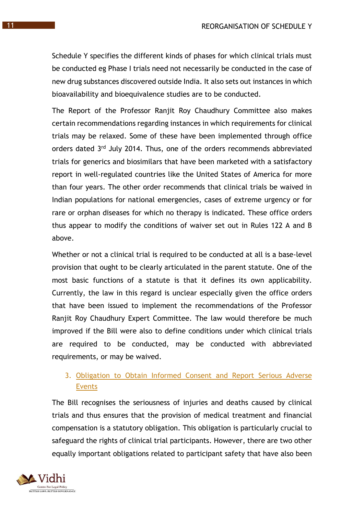Schedule Y specifies the different kinds of phases for which clinical trials must be conducted eg Phase I trials need not necessarily be conducted in the case of new drug substances discovered outside India. It also sets out instances in which bioavailability and bioequivalence studies are to be conducted.

The Report of the Professor Ranjit Roy Chaudhury Committee also makes certain recommendations regarding instances in which requirements for clinical trials may be relaxed. Some of these have been implemented through office orders dated 3<sup>rd</sup> July 2014. Thus, one of the orders recommends abbreviated trials for generics and biosimilars that have been marketed with a satisfactory report in well-regulated countries like the United States of America for more than four years. The other order recommends that clinical trials be waived in Indian populations for national emergencies, cases of extreme urgency or for rare or orphan diseases for which no therapy is indicated. These office orders thus appear to modify the conditions of waiver set out in Rules 122 A and B above.

Whether or not a clinical trial is required to be conducted at all is a base-level provision that ought to be clearly articulated in the parent statute. One of the most basic functions of a statute is that it defines its own applicability. Currently, the law in this regard is unclear especially given the office orders that have been issued to implement the recommendations of the Professor Ranjit Roy Chaudhury Expert Committee. The law would therefore be much improved if the Bill were also to define conditions under which clinical trials are required to be conducted, may be conducted with abbreviated requirements, or may be waived.

#### 3. Obligation to Obtain Informed Consent and Report Serious Adverse Events

The Bill recognises the seriousness of injuries and deaths caused by clinical trials and thus ensures that the provision of medical treatment and financial compensation is a statutory obligation. This obligation is particularly crucial to safeguard the rights of clinical trial participants. However, there are two other equally important obligations related to participant safety that have also been

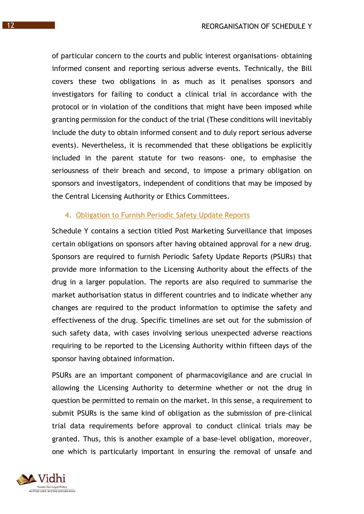of particular concern to the courts and public interest organisations- obtaining informed consent and reporting serious adverse events. Technically, the Bill covers these two obligations in as much as it penalises sponsors and investigators for failing to conduct a clinical trial in accordance with the protocol or in violation of the conditions that might have been imposed while granting permission for the conduct of the trial (These conditions will inevitably include the duty to obtain informed consent and to duly report serious adverse events). Nevertheless, it is recommended that these obligations be explicitly included in the parent statute for two reasons- one, to emphasise the seriousness of their breach and second, to impose a primary obligation on sponsors and investigators, independent of conditions that may be imposed by the Central Licensing Authority or Ethics Committees.

#### 4. Obligation to Furnish Periodic Safety Update Reports

Schedule Y contains a section titled Post Marketing Surveillance that imposes certain obligations on sponsors after having obtained approval for a new drug. Sponsors are required to furnish Periodic Safety Update Reports (PSURs) that provide more information to the Licensing Authority about the effects of the drug in a larger population. The reports are also required to summarise the market authorisation status in different countries and to indicate whether any changes are required to the product information to optimise the safety and effectiveness of the drug. Specific timelines are set out for the submission of such safety data, with cases involving serious unexpected adverse reactions requiring to be reported to the Licensing Authority within fifteen days of the sponsor having obtained information.

PSURs are an important component of pharmacovigilance and are crucial in allowing the Licensing Authority to determine whether or not the drug in question be permitted to remain on the market. In this sense, a requirement to submit PSURs is the same kind of obligation as the submission of pre-clinical trial data requirements before approval to conduct clinical trials may be granted. Thus, this is another example of a base-level obligation, moreover, one which is particularly important in ensuring the removal of unsafe and

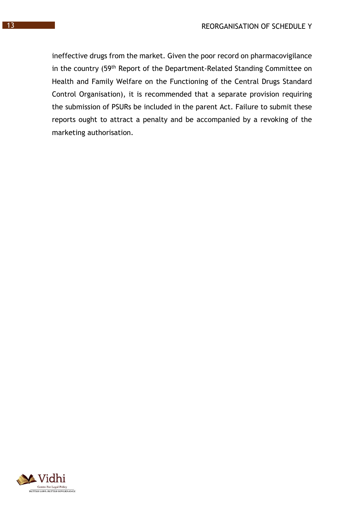ineffective drugs from the market. Given the poor record on pharmacovigilance in the country (59th Report of the Department-Related Standing Committee on Health and Family Welfare on the Functioning of the Central Drugs Standard Control Organisation), it is recommended that a separate provision requiring the submission of PSURs be included in the parent Act. Failure to submit these reports ought to attract a penalty and be accompanied by a revoking of the marketing authorisation.

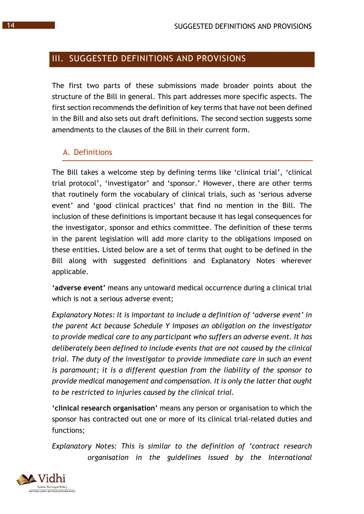## III. SUGGESTED DEFINITIONS AND PROVISIONS

The first two parts of these submissions made broader points about the structure of the Bill in general. This part addresses more specific aspects. The first section recommends the definition of key terms that have not been defined in the Bill and also sets out draft definitions. The second section suggests some amendments to the clauses of the Bill in their current form.

#### A. Definitions

The Bill takes a welcome step by defining terms like 'clinical trial', 'clinical trial protocol', 'investigator' and 'sponsor.' However, there are other terms that routinely form the vocabulary of clinical trials, such as 'serious adverse event' and 'good clinical practices' that find no mention in the Bill. The inclusion of these definitions is important because it has legal consequences for the investigator, sponsor and ethics committee. The definition of these terms in the parent legislation will add more clarity to the obligations imposed on these entities. Listed below are a set of terms that ought to be defined in the Bill along with suggested definitions and Explanatory Notes wherever applicable.

**'adverse event'** means any untoward medical occurrence during a clinical trial which is not a serious adverse event;

*Explanatory Notes: It is important to include a definition of 'adverse event' in the parent Act because Schedule Y imposes an obligation on the investigator to provide medical care to any participant who suffers an adverse event. It has deliberately been defined to include events that are not caused by the clinical trial. The duty of the investigator to provide immediate care in such an event is paramount; it is a different question from the liability of the sponsor to provide medical management and compensation. It is only the latter that ought to be restricted to injuries caused by the clinical trial.* 

**'clinical research organisation'** means any person or organisation to which the sponsor has contracted out one or more of its clinical trial-related duties and functions;

*Explanatory Notes: This is similar to the definition of 'contract research organisation in the guidelines issued by the International* 

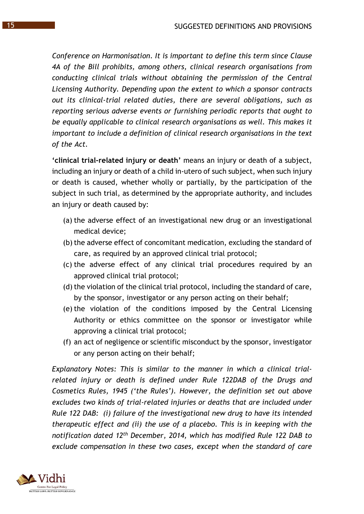*Conference on Harmonisation*. *It is important to define this term since Clause 4A of the Bill prohibits, among others, clinical research organisations from conducting clinical trials without obtaining the permission of the Central Licensing Authority. Depending upon the extent to which a sponsor contracts out its clinical-trial related duties, there are several obligations, such as reporting serious adverse events or furnishing periodic reports that ought to be equally applicable to clinical research organisations as well. This makes it important to include a definition of clinical research organisations in the text of the Act.* 

**'clinical trial-related injury or death'** means an injury or death of a subject, including an injury or death of a child in-utero of such subject, when such injury or death is caused, whether wholly or partially, by the participation of the subject in such trial, as determined by the appropriate authority, and includes an injury or death caused by:

- (a) the adverse effect of an investigational new drug or an investigational medical device;
- (b) the adverse effect of concomitant medication, excluding the standard of care, as required by an approved clinical trial protocol;
- (c) the adverse effect of any clinical trial procedures required by an approved clinical trial protocol;
- (d) the violation of the clinical trial protocol, including the standard of care, by the sponsor, investigator or any person acting on their behalf;
- (e) the violation of the conditions imposed by the Central Licensing Authority or ethics committee on the sponsor or investigator while approving a clinical trial protocol;
- (f) an act of negligence or scientific misconduct by the sponsor, investigator or any person acting on their behalf;

*Explanatory Notes: This is similar to the manner in which a clinical trialrelated injury or death is defined under Rule 122DAB of the Drugs and Cosmetics Rules, 1945 ('the Rules'). However, the definition set out above excludes two kinds of trial-related injuries or deaths that are included under Rule 122 DAB: (i) failure of the investigational new drug to have its intended therapeutic effect and (ii) the use of a placebo. This is in keeping with the notification dated 12th December, 2014, which has modified Rule 122 DAB to exclude compensation in these two cases, except when the standard of care* 

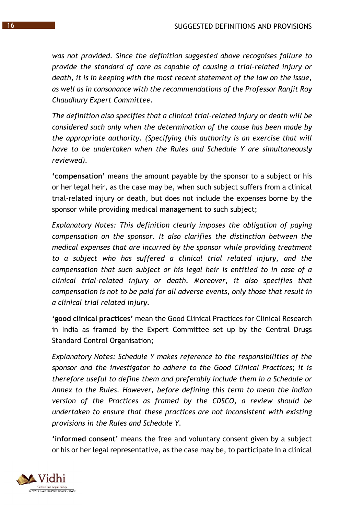*was not provided. Since the definition suggested above recognises failure to provide the standard of care as capable of causing a trial-related injury or death, it is in keeping with the most recent statement of the law on the issue, as well as in consonance with the recommendations of the Professor Ranjit Roy Chaudhury Expert Committee.*

*The definition also specifies that a clinical trial-related injury or death will be considered such only when the determination of the cause has been made by the appropriate authority. (Specifying this authority is an exercise that will have to be undertaken when the Rules and Schedule Y are simultaneously reviewed).* 

**'compensation'** means the amount payable by the sponsor to a subject or his or her legal heir, as the case may be, when such subject suffers from a clinical trial-related injury or death, but does not include the expenses borne by the sponsor while providing medical management to such subject;

*Explanatory Notes: This definition clearly imposes the obligation of paying compensation on the sponsor. It also clarifies the distinction between the medical expenses that are incurred by the sponsor while providing treatment to a subject who has suffered a clinical trial related injury, and the compensation that such subject or his legal heir is entitled to in case of a clinical trial-related injury or death. Moreover, it also specifies that compensation is not to be paid for all adverse events, only those that result in a clinical trial related injury.* 

**'good clinical practices'** mean the Good Clinical Practices for Clinical Research in India as framed by the Expert Committee set up by the Central Drugs Standard Control Organisation;

*Explanatory Notes: Schedule Y makes reference to the responsibilities of the sponsor and the investigator to adhere to the Good Clinical Practices; it is therefore useful to define them and preferably include them in a Schedule or Annex to the Rules. However, before defining this term to mean the Indian version of the Practices as framed by the CDSCO, a review should be undertaken to ensure that these practices are not inconsistent with existing provisions in the Rules and Schedule Y.* 

**'informed consent'** means the free and voluntary consent given by a subject or his or her legal representative, as the case may be, to participate in a clinical

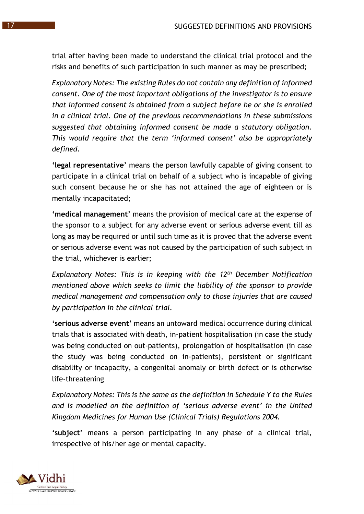trial after having been made to understand the clinical trial protocol and the risks and benefits of such participation in such manner as may be prescribed;

*Explanatory Notes: The existing Rules do not contain any definition of informed consent. One of the most important obligations of the investigator is to ensure that informed consent is obtained from a subject before he or she is enrolled in a clinical trial. One of the previous recommendations in these submissions suggested that obtaining informed consent be made a statutory obligation. This would require that the term 'informed consent' also be appropriately defined.* 

**'legal representative'** means the person lawfully capable of giving consent to participate in a clinical trial on behalf of a subject who is incapable of giving such consent because he or she has not attained the age of eighteen or is mentally incapacitated;

**'medical management'** means the provision of medical care at the expense of the sponsor to a subject for any adverse event or serious adverse event till as long as may be required or until such time as it is proved that the adverse event or serious adverse event was not caused by the participation of such subject in the trial, whichever is earlier;

*Explanatory Notes: This is in keeping with the 12th December Notification mentioned above which seeks to limit the liability of the sponsor to provide medical management and compensation only to those injuries that are caused by participation in the clinical trial.* 

**'serious adverse event'** means an untoward medical occurrence during clinical trials that is associated with death, in-patient hospitalisation (in case the study was being conducted on out-patients), prolongation of hospitalisation (in case the study was being conducted on in-patients), persistent or significant disability or incapacity, a congenital anomaly or birth defect or is otherwise life-threatening

*Explanatory Notes: This is the same as the definition in Schedule Y to the Rules and is modelled on the definition of 'serious adverse event' in the United Kingdom Medicines for Human Use (Clinical Trials) Regulations 2004.* 

**'subject'** means a person participating in any phase of a clinical trial, irrespective of his/her age or mental capacity.

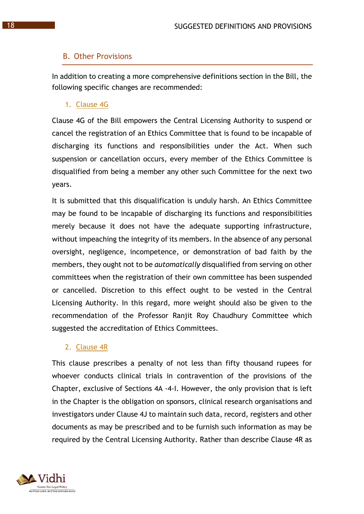#### B. Other Provisions

In addition to creating a more comprehensive definitions section in the Bill, the following specific changes are recommended:

1. Clause 4G

Clause 4G of the Bill empowers the Central Licensing Authority to suspend or cancel the registration of an Ethics Committee that is found to be incapable of discharging its functions and responsibilities under the Act. When such suspension or cancellation occurs, every member of the Ethics Committee is disqualified from being a member any other such Committee for the next two years.

It is submitted that this disqualification is unduly harsh. An Ethics Committee may be found to be incapable of discharging its functions and responsibilities merely because it does not have the adequate supporting infrastructure, without impeaching the integrity of its members. In the absence of any personal oversight, negligence, incompetence, or demonstration of bad faith by the members, they ought not to be *automatically* disqualified from serving on other committees when the registration of their own committee has been suspended or cancelled. Discretion to this effect ought to be vested in the Central Licensing Authority. In this regard, more weight should also be given to the recommendation of the Professor Ranjit Roy Chaudhury Committee which suggested the accreditation of Ethics Committees.

#### 2. Clause 4R

This clause prescribes a penalty of not less than fifty thousand rupees for whoever conducts clinical trials in contravention of the provisions of the Chapter, exclusive of Sections 4A -4-I. However, the only provision that is left in the Chapter is the obligation on sponsors, clinical research organisations and investigators under Clause 4J to maintain such data, record, registers and other documents as may be prescribed and to be furnish such information as may be required by the Central Licensing Authority. Rather than describe Clause 4R as

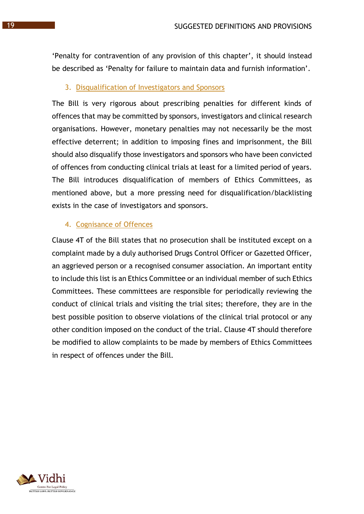'Penalty for contravention of any provision of this chapter', it should instead be described as 'Penalty for failure to maintain data and furnish information'.

#### 3. Disqualification of Investigators and Sponsors

The Bill is very rigorous about prescribing penalties for different kinds of offences that may be committed by sponsors, investigators and clinical research organisations. However, monetary penalties may not necessarily be the most effective deterrent; in addition to imposing fines and imprisonment, the Bill should also disqualify those investigators and sponsors who have been convicted of offences from conducting clinical trials at least for a limited period of years. The Bill introduces disqualification of members of Ethics Committees, as mentioned above, but a more pressing need for disqualification/blacklisting exists in the case of investigators and sponsors.

#### 4. Cognisance of Offences

Clause 4T of the Bill states that no prosecution shall be instituted except on a complaint made by a duly authorised Drugs Control Officer or Gazetted Officer, an aggrieved person or a recognised consumer association. An important entity to include this list is an Ethics Committee or an individual member of such Ethics Committees. These committees are responsible for periodically reviewing the conduct of clinical trials and visiting the trial sites; therefore, they are in the best possible position to observe violations of the clinical trial protocol or any other condition imposed on the conduct of the trial. Clause 4T should therefore be modified to allow complaints to be made by members of Ethics Committees in respect of offences under the Bill.